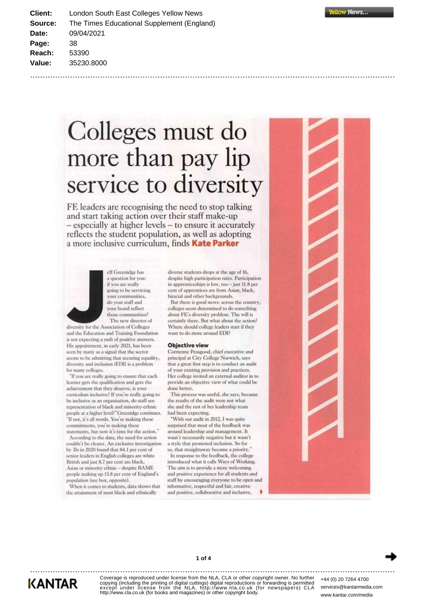Client: London South East Colleges Yellow News The Times Educational Supplement (England) Source: Date: 09/04/2021 Page: 38 Reach: 53390 Value: 35230.8000

> Colleges must do more than pay lip service to diversity

FE leaders are recognising the need to stop talking and start taking action over their staff make-up - especially at higher levels - to ensure it accurately reflects the student population, as well as adopting a more inclusive curriculum, finds Kate Parker



eff Greenidge has a question for you: if you are really going to be servicing your communities, do your staff and your board reflect those communities? The new director of

diversity for the Association of Colleges and the Education and Training Foundation is not expecting a rush of positive answers. His appointment, in early 2021, has been seen by many as a signal that the sector seems to be admitting that securing equality, diversity and inclusion (EDI) is a problem for many colleges

"If you are really going to ensure that each learner gets the qualification and gets the achievement that they deserve, is your curriculum inclusive? If you're really going to be inclusive as an organisation, do staff see representation of black and minority-ethnic people at a higher level?" Greenidge continues. "If not, it's all words. You're making these commitments, you're making these statements, but now it's time for the action."

According to the data, the need for action couldn't be clearer. An exclusive investigation by Tes in 2020 found that 84.1 per cent of senior leaders in English colleges are white British and just 8.7 per cent are black. Asian or minority ethnic - despite BAME people making up 13.8 per cent of England's population (see box, opposite).

When it comes to students, data shows that the attainment of most black and ethnically

diverse students drops at the age of 16, despite high participation rates. Participation in apprenticeships is low, too - just 11.8 per cent of apprentices are from Asian, black, biracial and other backgrounds.

But there is good news: across the country, colleges seem determined to do something about FE's diversity problem. The will is certainly there. But what about the action? Where should college leaders start if they want to do more around EDI?

#### **Objective view**

Corrienne Peasgood, chief executive and principal at City College Norwich, says that a great first step is to conduct an audit of your existing provision and practices. Her college invited an external auditor in to provide an objective view of what could be done better.

This process was useful, she says, because the results of the audit were not what she and the rest of her leadership team had been expecting.

"With our audit in 2012, I was quite surprised that most of the feedback was around leadership and management. It wasn't necessarily negative but it wasn't a style that promoted inclusion. So for us, that straightaway became a priority.' In response to the feedback, the college introduced what it calls Ways of Working. The aim is to provide a more welcoming and positive experience for all students and staff by encouraging everyone to be open and informative, respectful and fair, creative and positive, collaborative and inclusive,





**KANTAR** 

Coverage is reproduced under license from the NLA, CLA or other copyright owner. No further copying (including the printing of digital cuttings) digital reproductions or forwarding is permitted except under license from the NLA, http://www.nla.co.uk (for newspapers) CLA<br>http://www.cla.co.uk (for books and magazines) or other copyright body.

1 of 4

+44 (0) 20 7264 4700 services@kantarmedia.com www.kantar.com/media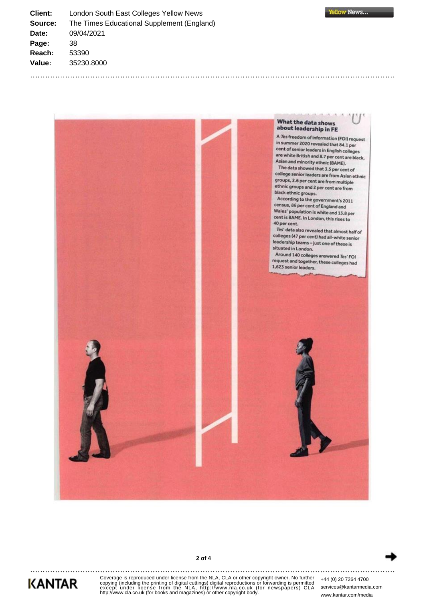**Client:** London South East Colleges Yellow News **Source:** The Times Educational Supplement (England) **Date:** 09/04/2021 **Page:** 38 **Reach:** 53390 **Value:** 35230.8000







Coverage is reproduced under license from the NLA, CLA or other copyright owner. No further<br>copying (including the printing of digital cuttings) digital reproductions or forwarding is permitted<br>except\_under\_license\_from\_th

**2 of 4**

+44 (0) 20 7264 4700 services@kantarmedia.com www.kantar.com/media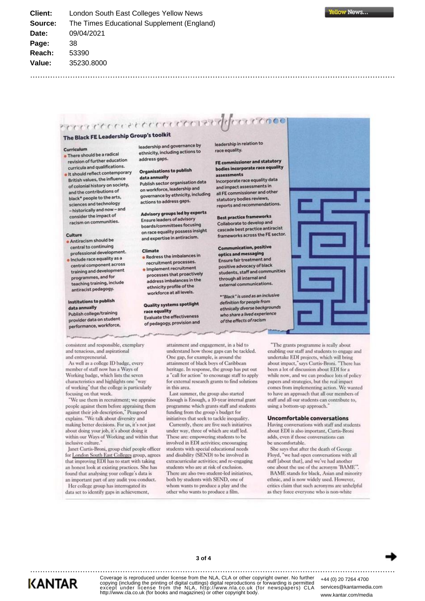## **SELOOPPORTER LA PROPERTY POOP** The Black FE Leadership Group's toolkit

#### Curriculum

- There should be a radical revision of further education curricula and qualifications.
- · It should reflect contemporary British values, the influence of colonial history on society, and the contributions of black\* people to the arts, sciences and technology - historically and now - and consider the impact of racism on communities.

#### Culture

- · Antiracism should be central to continuing professional development.
- Include race equality as a central component across training and development programmes, and for teaching training, include antiracist pedagogy.

### Institutions to publish

data annually Publish college/training provider data on student performance, workforce, leadership and governance by ethnicity, including actions to address gaps.

#### Organisations to publish data annually

Publish sector organisation data on workforce, leadership and governance by ethnicity, including actions to address gaps.

## Advisory groups led by experts

**Ensure leaders of advisory** boards/committees focusing on race equality possess insight and expertise in antiracism.

#### Climate

- . Redress the imbalances in recruitment processes.
- · Implement recruitment processes that proactively address imbalances in the ethnicity profile of the workforce at all levels.

#### **Quality systems spotlight** race equality **Evaluate the effectiveness** of pedagogy, provision and

leadership in relation to race equality.

#### FE commissioner and statutory bodies incorporate race equality assessments

 $177000$ 

Incorporate race equality data and impact assessments in all FE commissioner and other statutory bodies reviews, reports and recommendations.

**Best practice frameworks** Collaborate to develop and cascade best practice antiracist frameworks across the FE sector.

**Communication, positive** optics and messaging Ensure fair treatment and positive advocacy of black students, staff and communities through all internal and external communications.

\*"Black" is used as an inclusive definition for people from ethnically diverse backgrounds who share a lived experience of the effects of racism



consistent and responsible, exemplary and tenacious, and aspirational and entrepreneurial.

As well as a college ID badge, every member of staff now has a Ways of Working badge, which lists the seven characteristics and highlights one "way of working" that the college is particularly focusing on that week.

'We use them in recruitment; we appraise people against them before appraising them<br>against their job description," Peasgood explains. "We talk about diversity and making better decisions. For us, it's not just about doing your job, it's about doing it within our Ways of Working and within that inclusive culture."

Janet Curtis-Broni, group chief people officer for London South East Colleges group, agrees that improving EDI has to start with taking an honest look at existing practices. She has found that analysing your college's data is an important part of any audit you conduct.

Her college group has interrogated its data set to identify gaps in achievement,

attainment and engagement, in a bid to understand how those gaps can be tackled. One gap, for example, is around the attainment of black boys of Caribbean heritage. In response, the group has put out a "call for action" to encourage staff to apply for external research grants to find solutions in this area.

Last summer, the group also started Enough is Enough, a 10-year internal grant programme which grants staff and students funding from the group's budget for initiatives that seek to tackle inequality.

Currently, there are five such initiatives under way, three of which are staff led. These are: empowering students to be involved in EDI activities; encouraging students with special educational needs and disability (SEND) to be involved in extracurricular activities: and re-engaging students who are at risk of exclusion. There are also two student-led initiatives, both by students with SEND, one of whom wants to produce a play and the other who wants to produce a film.

"The grants programme is really about enabling our staff and students to engage and undertake EDI projects, which will bring about impact," says Curtis-Broni. "There has been a lot of discussion about EDI for a while now, and we can produce lots of policy papers and strategies, but the real impact comes from implementing action. We wanted to have an approach that all our members of staff and all our students can contribute to, using a bottom-up approach.'

#### **Uncomfortable conversations**

Having conversations with staff and students about EDI is also important, Curtis-Broni adds, even if those conversations can be uncomfortable.

She says that after the death of George Floyd, "we had open conversations with all staff [about that], and we've had another one about the use of the acronym 'BAME".

BAME stands for black, Asian and minority ethnic, and is now widely used. However, critics claim that such acronyms are unhelpful as they force everyone who is non-white



**KANTAR** 

Coverage is reproduced under license from the NLA, CLA or other copyright owner. No further copying (including the printing of digital cuttings) digital reproductions or forwarding is permitted except under license from the NLA, http://www.nla.co.uk (for newspapers) CLA<br>http://www.cla.co.uk (for books and magazines) or other copyright body.

+44 (0) 20 7264 4700 services@kantarmedia.com www.kantar.com/media